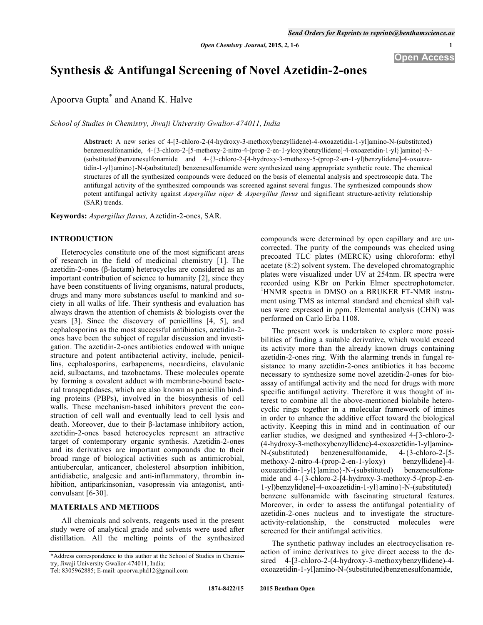# **Synthesis & Antifungal Screening of Novel Azetidin-2-ones**

Apoorva Gupta\* and Anand K. Halve

*School of Studies in Chemistry, Jiwaji University Gwalior-474011, India* 

**Abstract:** A new series of 4-[3-chloro-2-(4-hydroxy-3-methoxybenzyllidene)-4-oxoazetidin-1-yl]amino-N-(substituted) benzenesulfonamide, 4-{3-chloro-2-[5-methoxy-2-nitro-4-(prop-2-en-1-yloxy)benzyllidene]-4-oxoazetidin-1-yl}]amino}-N- (substituted)benzenesulfonamide and 4-{3-chloro-2-[4-hydroxy-3-methoxy-5-(prop-2-en-1-yl)benzylidene]-4-oxoazetidin-1-yl}amino}-N-(substituted) benzenesulfonamide were synthesized using appropriate synthetic route. The chemical structures of all the synthesized compounds were deduced on the basis of elemental analysis and spectroscopic data. The antifungal activity of the synthesized compounds was screened against several fungus. The synthesized compounds show potent antifungal activity against *Aspergillus niger & Aspergillus flavus* and significant structure-activity relationship (SAR) trends.

**Keywords:** *Aspergillus flavus,* Azetidin-2-ones, SAR.

# **INTRODUCTION**

Heterocycles constitute one of the most significant areas of research in the field of medicinal chemistry [1]. The azetidin-2-ones ( $\beta$ -lactam) heterocycles are considered as an important contribution of science to humanity [2], since they have been constituents of living organisms, natural products, drugs and many more substances useful to mankind and society in all walks of life. Their synthesis and evaluation has always drawn the attention of chemists & biologists over the years [3]. Since the discovery of penicillins [4, 5], and cephalosporins as the most successful antibiotics, azetidin-2 ones have been the subject of regular discussion and investigation. The azetidin-2-ones antibiotics endowed with unique structure and potent antibacterial activity, include, penicillins, cephalosporins, carbapenems, nocardicins, clavulanic acid, sulbactams, and tazobactams. These molecules operate by forming a covalent adduct with membrane-bound bacterial transpeptidases, which are also known as penicillin binding proteins (PBPs), involved in the biosynthesis of cell walls. These mechanism-based inhibitors prevent the construction of cell wall and eventually lead to cell lysis and death. Moreover, due to their  $\beta$ -lactamase inhibitory action, azetidin-2-ones based heterocycles represent an attractive target of contemporary organic synthesis. Azetidin-2-ones and its derivatives are important compounds due to their broad range of biological activities such as antimicrobial, antiubercular, anticancer, cholesterol absorption inhibition, antidiabetic, analgesic and anti-inflammatory, thrombin inhibition, antiparkinsonian, vasopressin via antagonist, anticonvulsant [6-30].

# **MATERIALS AND METHODS**

All chemicals and solvents, reagents used in the present study were of analytical grade and solvents were used after distillation. All the melting points of the synthesized

\*Address correspondence to this author at the School of Studies in Chemistry, Jiwaji University Gwalior-474011, India;

Tel: 8305962885; E-mail: apoorva.phd12@gmail.com

compounds were determined by open capillary and are uncorrected. The purity of the compounds was checked using precoated TLC plates (MERCK) using chloroform: ethyl acetate (8:2) solvent system. The developed chromatographic plates were visualized under UV at 254nm. IR spectra were recorded using KBr on Perkin Elmer spectrophotometer. <sup>1</sup>HNMR spectra in DMSO on a BRUKER FT-NMR instrument using TMS as internal standard and chemical shift values were expressed in ppm. Elemental analysis (CHN) was performed on Carlo Erba 1108.

The present work is undertaken to explore more possibilities of finding a suitable derivative, which would exceed its activity more than the already known drugs containing azetidin-2-ones ring. With the alarming trends in fungal resistance to many azetidin-2-ones antibiotics it has become necessary to synthesize some novel azetidin-2-ones for bioassay of antifungal activity and the need for drugs with more specific antifungal activity. Therefore it was thought of interest to combine all the above-mentioned biolabile heterocyclic rings together in a molecular framework of imines in order to enhance the additive effect toward the biological activity. Keeping this in mind and in continuation of our earlier studies, we designed and synthesized 4-[3-chloro-2- (4-hydroxy-3-methoxybenzyllidene)-4-oxoazetidin-1-yl]amino-N-(substituted) benzenesulfonamide, 4-{3-chloro-2-[5 methoxy-2-nitro-4-(prop-2-en-1-yloxy) benzyllidene]-4 oxoazetidin-1-yl}]amino}-N-(substituted) benzenesulfonamide and 4-{3-chloro-2-[4-hydroxy-3-methoxy-5-(prop-2-en-1-yl)benzylidene]-4-oxoazetidin-1-yl}amino}-N-(substituted) benzene sulfonamide with fascinating structural features. Moreover, in order to assess the antifungal potentiality of azetidin-2-ones nucleus and to investigate the structureactivity-relationship, the constructed molecules were screened for their antifungal activities.

The synthetic pathway includes an electrocyclisation reaction of imine derivatives to give direct access to the desired 4-[3-chloro-2-(4-hydroxy-3-methoxybenzyllidene)-4 oxoazetidin-1-yl]amino-N-(substituted)benzenesulfonamide,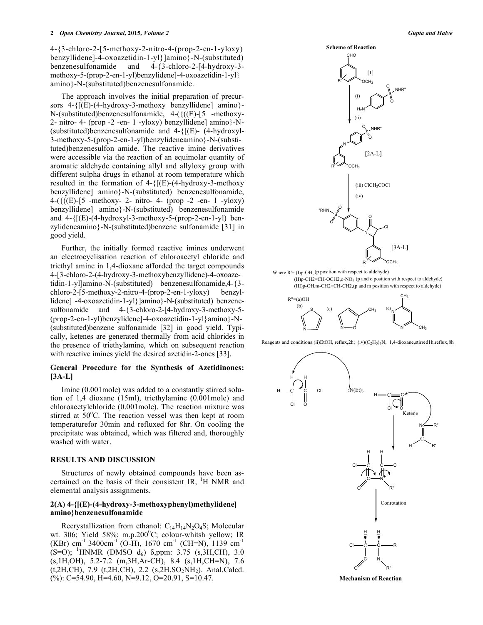4-{3-chloro-2-[5-methoxy-2-nitro-4-(prop-2-en-1-yloxy) benzyllidene]-4-oxoazetidin-1-yl}]amino}-N-(substituted) benzenesulfonamide and 4-{3-chloro-2-[4-hydroxy-3 methoxy-5-(prop-2-en-1-yl)benzylidene]-4-oxoazetidin-1-yl} amino}-N-(substituted)benzenesulfonamide.

The approach involves the initial preparation of precursors 4-{[(E)-(4-hydroxy-3-methoxy benzyllidene] amino}-  $N$ -(substituted)benzenesulfonamide, 4-( $\{((E)$ -[5 -methoxy-2- nitro- 4- (prop -2 -en- 1 -yloxy) benzyllidene] amino}-N- (substituted)benzenesulfonamide and 4-{[(E)- (4-hydroxyl-3-methoxy-5-(prop-2-en-1-yl)benzylideneamino}-N-(substituted)benzenesulfon amide. The reactive imine derivatives were accessible via the reaction of an equimolar quantity of aromatic aldehyde containing allyl and allyloxy group with different sulpha drugs in ethanol at room temperature which resulted in the formation of  $4-\{[(E)-(4-hydroxy-3-methoxy$ benzyllidene] amino}-N-(substituted) benzenesulfonamide, 4-({((E)-[5 -methoxy- 2- nitro- 4- (prop -2 -en- 1 -yloxy) benzyllidene] amino}-N-(substituted) benzenesulfonamide and  $4-\{[(E)-(4-hydroxy]-3-methoxy-5-(prop-2-en-1-y])$  benzylideneamino}-N-(substituted)benzene sulfonamide [31] in good yield.

Further, the initially formed reactive imines underwent an electrocyclisation reaction of chloroacetyl chloride and triethyl amine in 1,4-dioxane afforded the target compounds 4-[3-chloro-2-(4-hydroxy-3-methoxybenzyllidene)-4-oxoazetidin-1-yl]amino-N-(substituted) benzenesulfonamide,4-{3 chloro-2-[5-methoxy-2-nitro-4-(prop-2-en-1-yloxy) benzyllidene] -4-oxoazetidin-1-yl}]amino}-N-(substituted) benzenesulfonamide and 4-{3-chloro-2-[4-hydroxy-3-methoxy-5- (prop-2-en-1-yl)benzylidene]-4-oxoazetidin-1-yl}amino}-N- (substituted)benzene sulfonamide [32] in good yield. Typically, ketenes are generated thermally from acid chlorides in the presence of triethylamine, which on subsequent reaction with reactive imines yield the desired azetidin-2-ones [33].

# **General Procedure for the Synthesis of Azetidinones: [3A-L]**

Imine (0.001mole) was added to a constantly stirred solution of 1,4 dioxane (15ml), triethylamine (0.001mole) and chloroacetylchloride (0.001mole). The reaction mixture was stirred at 50°C. The reaction vessel was then kept at room temperaturefor 30min and refluxed for 8hr. On cooling the precipitate was obtained, which was filtered and, thoroughly washed with water.

#### **RESULTS AND DISCUSSION**

Structures of newly obtained compounds have been ascertained on the basis of their consistent IR,  $^1$ H NMR and elemental analysis assignments.

# **2(A) 4-{[(E)-(4-hydroxy-3-methoxyphenyl)methylidene] amino}benzenesulfonamide**

Recrystallization from ethanol:  $C_{14}H_{14}N_2O_4S$ ; Molecular wt. 306; Yield 58%; m.p.200 $^0C$ ; colour-whitsh yellow; IR (KBr) cm<sup>-1</sup> 3400cm<sup>-1</sup> (O-H), 1670 cm<sup>-1</sup> (CH=N), 1139 cm<sup>-1</sup>  $(S=O)$ ; <sup>1</sup>HNMR (DMSO d<sub>6</sub>)  $\delta$ ,ppm: 3.75 (s,3H,CH), 3.0 (s,1H,OH), 5.2-7.2 (m,3H,Ar-CH), 8.4 (s,1H,CH=N), 7.6  $(t, 2H, CH)$ , 7.9  $(t, 2H, CH)$ , 2.2  $(s, 2H, SO<sub>2</sub>NH<sub>2</sub>)$ . Anal.Calcd.  $(\%):$  C=54.90, H=4.60, N=9.12, O=20.91, S=10.47.



Where  $R = (I)p-OH$ , (p position with respect to aldehyde) (II)p-CH2=CH-OCH2,o-NO2 (p and o position with respect to aldehyde) (III)p-OH,m-CH2=CH-CH2,(p and m position with respect to aldehyde)



Reagents and conditions:(ii)EtOH, reflux,2h; (iv)(C<sub>2</sub>H<sub>5</sub>)<sub>3</sub>N, 1,4-dioxane,stirred1h,reflux,8h



**Mechanism of Reaction**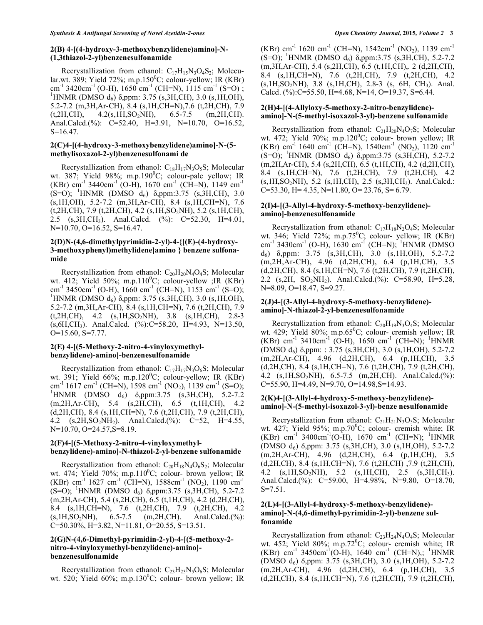# **2(B) 4-[(4-hydroxy-3-methoxybenzylidene)amino]-N- (1,3thiazol-2-yl)benzenesulfonamide**

Recrystallization from ethanol:  $C_{17}H_{15}N_3O_4S_2$ ; Molecular.wt. 389; Yield 72%; m.p.150 $^0C$ ; colour-yellow; IR (KBr) cm<sup>-1</sup> 3420cm<sup>-1</sup> (O-H), 1650 cm<sup>-1</sup> (CH=N), 1115 cm<sup>-1</sup> (S=O); <sup>1</sup>HNMR (DMSO  $d_6$ )  $\delta$ ,ppm: 3.75 (s,3H,CH), 3.0 (s,1H,OH), 5.2-7.2 (m,3H,Ar-CH), 8.4 (s,1H,CH=N),7.6 (t,2H,CH), 7.9  $(t, 2H, CH)$ ,  $4.2(s, 1H, SO<sub>2</sub>NH)$ ,  $6.5-7.5$  (m,  $2H, CH)$ ). Anal.Calcd.(%): C=52.40, H=3.91, N=10.70, O=16.52,  $S=16.47$ .

#### **2(C)4-[(4-hydroxy-3-methoxybenzylidene)amino]-N-(5 methylisoxazol-2-yl)benzenesulfonami de**

Recrystallization from ethanol:  $C_{18}H_{17}N_3O_5S$ ; Molecular wt. 387; Yield 98%; m.p.190 $^0C$ ; colour-pale yellow; IR (KBr) cm<sup>-1</sup> 3440cm<sup>-1</sup> (O-H), 1670 cm<sup>-1</sup> (CH=N), 1149 cm<sup>-1</sup>  $(S=O)$ ; <sup>1</sup>HNMR (DMSO d<sub>6</sub>)  $\delta$ ,ppm:3.75 (s,3H,CH), 3.0 (s,1H,OH), 5.2-7.2 (m,3H,Ar-CH), 8.4 (s,1H,CH=N), 7.6 (t,2H,CH), 7.9 (t,2H,CH), 4.2 (s,1H,SO2NH), 5.2 (s,1H,CH), 2.5 (s,3H,CH3). Anal.Calcd. (%): C=52.30, H=4.01, N=10.70, O=16.52, S=16.47.

# **2(D)N-(4,6-dimethylpyrimidin-2-yl)-4-{[(E)-(4-hydroxy-3-methoxyphenyl)methylidene]amino } benzene sulfonamide**

Recrystallization from ethanol:  $C_{20}H_{20}N_4O_4S$ ; Molecular wt. 412; Yield 50%; m.p.110 $^0C$ ; colour-yellow ;IR (KBr) cm<sup>-1</sup> 3450cm<sup>-1</sup> (O-H), 1660 cm<sup>-1</sup> (CH=N), 1153 cm<sup>-1</sup> (S=O); <sup>1</sup>HNMR (DMSO  $d_6$ )  $\delta$ ,ppm: 3.75 (s,3H,CH), 3.0 (s,1H,OH), 5.2-7.2 (m,3H,Ar-CH), 8.4 (s,1H,CH=N), 7.6 (t,2H,CH), 7.9 (t,2H,CH), 4.2 (s,1H,SO2NH), 3.8 (s,1H,CH), 2.8-3  $(s, 6H, CH<sub>3</sub>)$ . Anal.Calcd. (%):C=58.20, H=4.93, N=13.50, O=15.60, S=7.77.

# **2(E) 4-[(5-Methoxy-2-nitro-4-vinyloxymethylbenzylidene)-amino]-benzenesulfonamide**

Recrystallization from ethanol:  $C_{17}H_{17}N_3O_6S$ ; Molecular wt. 391; Yield  $66\%$ ; m.p.120<sup>0</sup>C; colour-yellow; IR (KBr) cm<sup>-1</sup> 1617 cm<sup>-1</sup> (CH=N), 1598 cm<sup>-1</sup> (NO<sub>2</sub>), 1139 cm<sup>-1</sup> (S=O); <sup>1</sup>HNMR (DMSO d<sub>6</sub>)  $\delta$ ,ppm:3.75 (s,3H,CH), 5.2-7.2 (m,2H,Ar-CH), 5.4 (s,2H,CH), 6.5 (t,1H,CH), 4.2 (d,2H,CH), 8.4 (s,1H,CH=N), 7.6 (t,2H,CH), 7.9 (t,2H,CH), 4.2 (s,2H,SO<sub>2</sub>NH<sub>2</sub>). Anal.Calcd.(%): C=52, H=4.55, N=10.70, O=24.57, S=8.19.

# **2(F)4-[(5-Methoxy-2-nitro-4-vinyloxymethylbenzylidene)-amino]-N-thiazol-2-yl-benzene sulfonamide**

Recrystallization from ethanol:  $C_{20}H_{18}N_4O_6S_2$ ; Molecular wt. 474; Yield 70%; m.p.110 $^0C$ ; colour- brown yellow; IR (KBr) cm<sup>-1</sup> 1627 cm<sup>-1</sup> (CH=N), 1588cm<sup>-1</sup> (NO<sub>2</sub>), 1190 cm<sup>-1</sup>  $(S=O)$ ; <sup>1</sup>HNMR (DMSO d<sub>6</sub>)  $\delta$ ,ppm:3.75 (s,3H,CH), 5.2-7.2 (m,2H,Ar-CH), 5.4 (s,2H,CH), 6.5 (t,1H,CH), 4.2 (d,2H,CH), 8.4 (s,1H,CH=N), 7.6 (t,2H,CH), 7.9 (t,2H,CH), 4.2  $(s,1H,SO_2NH),$  6.5-7.5 (m,2H,CH). Anal.Calcd.(%): C=50.30%, H=3.82, N=11.81, O=20.55, S=13.51.

#### **2(G)N-(4,6-Dimethyl-pyrimidin-2-yl)-4-[(5-methoxy-2 nitro-4-vinyloxymethyl-benzylidene)-amino] benzenesulfonamide**

Recrystallization from ethanol:  $C_{23}H_{23}N_5O_6S$ ; Molecular wt. 520; Yield  $60\%$ ; m.p.130 $^0$ C; colour- brown yellow; IR (KBr) cm<sup>-1</sup> 1620 cm<sup>-1</sup> (CH=N), 1542cm<sup>-1</sup> (NO<sub>2</sub>), 1139 cm<sup>-1</sup>  $(S=O)$ ; <sup>1</sup>HNMR (DMSO d<sub>6</sub>)  $\delta$ , ppm:3.75 (s, 3H, CH), 5.2-7.2 (m,3H,Ar-CH), 5.4 (s,2H,CH), 6.5 (t,1H,CH),. 2 (d,2H,CH), 8.4 (s,1H,CH=N), 7.6 (t,2H,CH), 7.9 (t,2H,CH), 4.2  $(s, 1H, SO<sub>2</sub>NH), 3.8 (s, 1H, CH), 2.8-3 (s, 6H, CH<sub>3</sub>).$  Anal. Calcd.  $(\%)$ :C=55.50, H=4.68, N=14, O=19.37, S=6.44.

# **2(H)4-[(4-Allyloxy-5-methoxy-2-nitro-benzylidene) amino]-N-(5-methyl-isoxazol-3-yl)-benzene sulfonamide**

Recrystallization from ethanol:  $C_{21}H_{20}N_4O_7S$ ; Molecular wt. 472; Yield 70%; m.p.120 $^0C$ ; colour- brown yellow; IR (KBr) cm<sup>-1</sup> 1640 cm<sup>-1</sup> (CH=N), 1540cm<sup>-1</sup> (NO<sub>2</sub>), 1120 cm<sup>-1</sup>  $(S=O)$ ; <sup>1</sup>HNMR (DMSO d<sub>6</sub>)  $\delta$ ,ppm:3.75 (s,3H,CH), 5.2-7.2 (m,2H,Ar-CH), 5.4 (s,2H,CH), 6.5 (t,1H,CH), 4.2 (d,2H,CH), 8.4 (s,1H,CH=N), 7.6 (t,2H,CH), 7.9 (t,2H,CH), 4.2 (s,1H,SO2NH), 5.2 (s,1H,CH), 2.5 (s,3H,CH3). Anal.Calcd.: C=53.30, H= 4.35, N=11.80, O= 23.76, S= 6.79.

#### **2(I)4-[(3-Allyl-4-hydroxy-5-methoxy-benzylidene) amino]-benzenesulfonamide**

Recrystallization from ethanol:  $C_{17}H_{18}N_2O_4S$ ; Molecular wt. 346; Yield 72%; m.p.75 $^0C$ ; colour- yellow; IR (KBr) cm<sup>-1</sup> 3430cm<sup>-1</sup> (O-H), 1630 cm<sup>-1</sup> (CH=N); <sup>1</sup>HNMR (DMSO) d<sub>6</sub>)  $\delta$ ,ppm: 3.75 (s,3H,CH), 3.0 (s,1H,OH), 5.2-7.2 (m,2H,Ar-CH), 4.96 (d,2H,CH), 6.4 (p,1H,CH), 3.5 (d,2H,CH), 8.4 (s,1H,CH=N), 7.6 (t,2H,CH), 7.9 (t,2H,CH), 2.2 (s, 2H, SO<sub>2</sub>NH<sub>2</sub>). Anal.Calcd.(%): C=58.90, H=5.28, N=8.09, O=18.47, S=9.27.

#### **2(J)4-[(3-Allyl-4-hydroxy-5-methoxy-benzylidene) amino]-N-thiazol-2-yl-benzenesulfonamide**

Recrystallization from ethanol:  $C_{20}H_{19}N_3O_4S$ ; Molecular wt. 429; Yield 80%; m.p.65 $^0C$ ; colour- cremish yellow; IR  $(KBr)$  cm<sup>-1</sup> 3410cm<sup>-1</sup> (O-H), 1650 cm<sup>-1</sup> (CH=N); <sup>1</sup>HNMR  $(DMSO d<sub>6</sub>) \delta<sub>op</sub>pm: 3.75 (s, 3H, CH), 3.0 (s, 1H, OH), 5.2-7.2$ (m,2H,Ar-CH), 4.96 (d,2H,CH), 6.4 (p,1H,CH), 3.5 (d,2H,CH), 8.4 (s,1H,CH=N), 7.6 (t,2H,CH), 7.9 (t,2H,CH), 4.2 (s,1H,SO2NH), 6.5-7.5 (m,2H,CH). Anal.Calcd.(%):  $C=55.90$ , H=4.49, N=9.70, O=14.98, S=14.93.

# **2(K)4-[(3-Allyl-4-hydroxy-5-methoxy-benzylidene) amino]-N-(5-methyl-isoxazol-3-yl)-benze nesulfonamide**

Recrystallization from ethanol:  $C_{21}H_{21}N_3O_5S$ ; Molecular wt. 427; Yield 95%; m.p.70 $^0C$ ; colour- cremish white; IR  $(KBr)$  cm<sup>-1</sup> 3400cm<sup>-1</sup>(O-H), 1670 cm<sup>-1</sup> (CH=N); <sup>1</sup>HNMR (DMSO  $d_6$ )  $\delta$ ,ppm: 3.75 (s,3H,CH), 3.0 (s,1H,OH), 5.2-7.2 (m,2H,Ar-CH), 4.96 (d,2H,CH), 6.4 (p,1H,CH), 3.5 (d,2H,CH), 8.4 (s,1H,CH=N), 7.6 (t,2H,CH) ,7.9 (t,2H,CH), 4.2 (s,1H,SO2NH), 5.2 (s,1H,CH), 2.5 (s,3H,CH3). Anal.Calcd.(%): C=59.00, H=4.98%, N=9.80, O=18.70, S=7.51.

# **2(L)4-[(3-Allyl-4-hydroxy-5-methoxy-benzylidene) amino]-N-(4,6-dimethyl-pyrimidin-2-yl)-benzene sulfonamide**

Recrystallization from ethanol:  $C_{23}H_{24}N_4O_4S$ ; Molecular wt. 452; Yield 80%; m.p.72 $^{\circ}$ C; colour- cremish white; IR  $(KBr)$  cm<sup>-1</sup> 3450cm<sup>-1</sup>(O-H), 1640 cm<sup>-1</sup> (CH=N),; <sup>1</sup>HNMR (DMSO  $d_6$ )  $\delta$ ,ppm: 3.75 (s,3H,CH), 3.0 (s,1H,OH), 5.2-7.2 (m,2H,Ar-CH), 4.96 (d,2H,CH), 6.4 (p,1H,CH), 3.5 (d,2H,CH), 8.4 (s,1H,CH=N), 7.6 (t,2H,CH), 7.9 (t,2H,CH),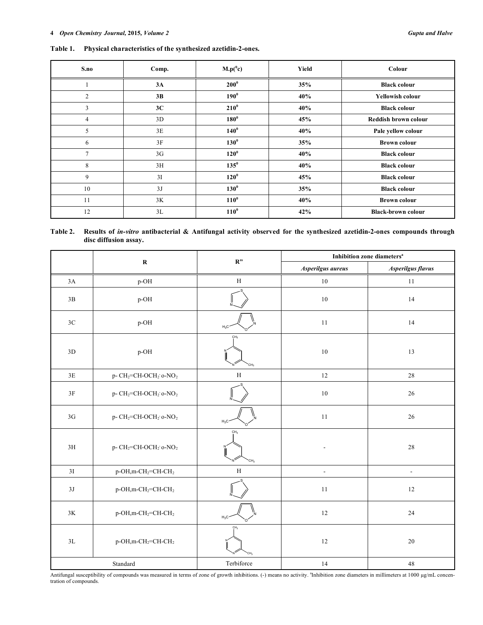# **Table 1. Physical characteristics of the synthesized azetidin-2-ones.**

| S.no           | Comp. | $M.p(^0c)$  | Yield | Colour                    |
|----------------|-------|-------------|-------|---------------------------|
|                | 3A    | $200^0$     | 35%   | <b>Black colour</b>       |
| $\overline{2}$ | 3B    | $190^\circ$ | 40%   | <b>Yellowish colour</b>   |
| 3              | 3C    | $210^0$     | 40%   | <b>Black colour</b>       |
| $\overline{4}$ | 3D    | $180^0$     | 45%   | Reddish brown colour      |
| 5              | 3E    | $140^0$     | 40%   | Pale yellow colour        |
| 6              | 3F    | $130^0$     | 35%   | <b>Brown colour</b>       |
| $\overline{7}$ | 3G    | $120^0$     | 40%   | <b>Black colour</b>       |
| 8              | 3H    | $135^\circ$ | 40%   | <b>Black colour</b>       |
| 9              | 3I    | $120^0$     | 45%   | <b>Black colour</b>       |
| 10             | 3J    | $130^\circ$ | 35%   | <b>Black colour</b>       |
| 11             | 3K    | $110^0$     | 40%   | <b>Brown colour</b>       |
| 12             | 3L    | $110^0$     | 42%   | <b>Black-brown colour</b> |

**Table 2. Results of** *in-vitro* **antibacterial & Antifungal activity observed for the synthesized azetidin-2-ones compounds through disc diffusion assay.** 

|               | ${\bf R}$                                                  | R"                                 | Inhibition zone diameters <sup>a</sup> |                          |  |
|---------------|------------------------------------------------------------|------------------------------------|----------------------------------------|--------------------------|--|
|               |                                                            |                                    | Asperilgus aureus                      | Asperilgus flavus        |  |
| $3A$          | p-OH                                                       | $\, {\rm H}$                       | $10\,$                                 | $11\,$                   |  |
| 3B            | p-OH                                                       |                                    | $10\,$                                 | 14                       |  |
| $3\mathrm{C}$ | p-OH                                                       | $H_3C$                             | 11                                     | 14                       |  |
| $3\mathrm{D}$ | p-OH                                                       | CH <sub>3</sub><br>CH <sub>3</sub> | 10                                     | 13                       |  |
| $3\mathrm{E}$ | p-CH <sub>2</sub> =CH-OCH <sub>2</sub> ' o-NO <sub>2</sub> | $\mathbf H$                        | $12\,$                                 | $28\,$                   |  |
| $3\mathrm{F}$ | p-CH <sub>2</sub> =CH-OCH <sub>2</sub> ' o-NO <sub>2</sub> |                                    | $10\,$                                 | $26\,$                   |  |
| 3G            | p-CH <sub>2</sub> =CH-OCH <sub>2</sub> ' o-NO <sub>2</sub> | $H_3C$                             | 11                                     | 26                       |  |
| 3H            | p-CH <sub>2</sub> =CH-OCH <sub>2</sub> ' o-NO <sub>2</sub> | CH <sub>3</sub>                    |                                        | $28\,$                   |  |
| 3I            | p-OH,m-CH <sub>2</sub> =CH-CH <sub>2</sub>                 | $\mathbf H$                        | $\blacksquare$                         | $\overline{\phantom{a}}$ |  |
| $3J$          | p-OH,m-CH <sub>2</sub> =CH-CH <sub>2</sub>                 |                                    | 11                                     | 12                       |  |
| $3\mathrm{K}$ | p-OH,m-CH <sub>2</sub> =CH-CH <sub>2</sub>                 | $H_3C$                             | 12                                     | 24                       |  |
| 3L            | p-OH,m-CH <sub>2</sub> =CH-CH <sub>2</sub>                 | CH:<br>CH <sub>3</sub>             | $12\,$                                 | $20\,$                   |  |
| Standard      |                                                            | Terbiforce                         | 14                                     | 48                       |  |

Antifungal susceptibility of compounds was measured in terms of zone of growth inhibitions. (-) means no activity. <sup>a</sup>Inhibition zone diameters in millimeters at 1000 µg/mL concentration of compounds.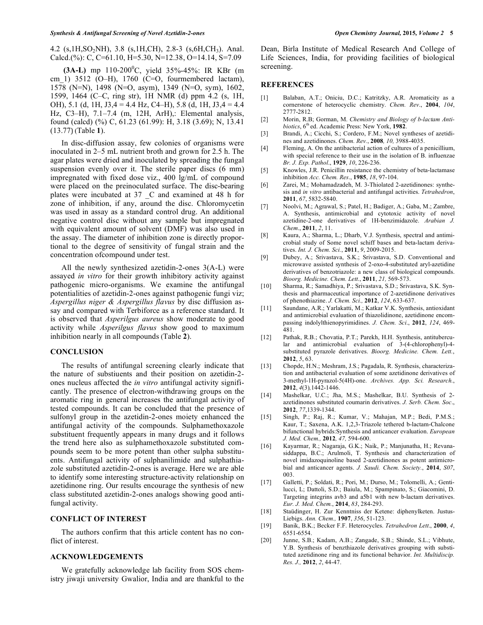4.2 (s, 1H, SO<sub>2</sub>NH), 3.8 (s, 1H, CH), 2.8-3 (s, 6H, CH<sub>3</sub>). Anal. Calcd.(%): C, C=61.10, H=5.30, N=12.38, O=14.14, S=7.09

**(3A-L)** mp 110-200<sup>0</sup>C, yield 35%-45%: IR KBr (m cm 1) 3512 (O–H), 1760 (C=O, fourmembered lactam), 1578 (N=N), 1498 (N=O, asym), 1349 (N=O, sym), 1602, 1599, 1464 (C–C, ring str), 1H NMR (d) ppm 4.2 (s, 1H, OH), 5.1 (d, 1H, J3,4 = 4.4 Hz, C4–H), 5.8 (d, 1H, J3,4 = 4.4 Hz, C3–H), 7.1–7.4 (m, 12H, ArH),: Elemental analysis, found (calcd) (%) C, 61.23 (61.99): H, 3.18 (3.69); N, 13.41 (13.77) (Table **1**).

In disc-diffusion assay, few colonies of organisms were inoculated in 2–5 mL nutrient broth and grown for 2.5 h. The agar plates were dried and inoculated by spreading the fungal suspension evenly over it. The sterile paper discs (6 mm) impregnated with fixed dose viz., 400 lg/mL of compound were placed on the preinoculated surface. The disc-bearing plates were incubated at 37 \_C and examined at 48 h for zone of inhibition, if any, around the disc. Chloromycetin was used in assay as a standard control drug. An additional negative control disc without any sample but impregnated with equivalent amount of solvent (DMF) was also used in the assay. The diameter of inhibition zone is directly proportional to the degree of sensitivity of fungal strain and the concentration ofcompound under test.

All the newly synthesized azetidin-2-ones 3(A-L) were assayed *in vitro* for their growth inhibitory activity against pathogenic micro-organisms. We examine the antifungal potentialities of azetidin-2-ones against pathogenic fungi viz; *Aspergillus niger & Aspergillus flavus* by disc diffusion assay and compared with Terbiforce as a reference standard. It is observed that *Asperilgus aureus* show moderate to good activity while *Asperilgus flavus* show good to maximum inhibition nearly in all compounds (Table **2**).

#### **CONCLUSION**

The results of antifungal screening clearly indicate that the nature of substiuents and their position on azetidin-2 ones nucleus affected the *in vitro* antifungal activity significantly. The presence of electron-withdrawing groups on the aromatic ring in general increases the antifungal activity of tested compounds. It can be concluded that the presence of sulfonyl group in the azetidin-2-ones moiety enhanced the antifungal activity of the compounds. Sulphamethoxazole substituent frequently appears in many drugs and it follows the trend here also as sulphamethoxazole substituted compounds seem to be more potent than other sulpha substituents. Antifungal activity of sulphanilimide and sulphathiazole substituted azetidin-2-ones is average. Here we are able to identify some interesting structure-activity relationship on azetidinone ring. Our results encourage the synthesis of new class substituted azetidin-2-ones analogs showing good antifungal activity.

#### **CONFLICT OF INTEREST**

The authors confirm that this article content has no conflict of interest.

#### **ACKNOWLEDGEMENTS**

We gratefully acknowledge lab facility from SOS chemistry jiwaji university Gwalior, India and are thankful to the Dean, Birla Institute of Medical Research And College of Life Sciences, India, for providing facilities of biological screening.

#### **REFERENCES**

- [1] Balaban, A.T.; Oniciu, D.C.; Katritzky, A.R. Aromaticity as a cornerstone of heterocyclic chemistry. *Chem. Rev*., **2004**, *104*, 2777-2812.
- [2] Morin, R.B; Gorman, M. *Chemistry and Biology of b-lactam Antibiotics*, 6th ed. Academic Press: New York, **1982**.
- [3] Brandi, A.; Cicchi, S.; Cordero, F.M.; Novel syntheses of azetidines and azetidinones. *Chem. Rev.*, **2008***, 10,* 3988-4035.
- [4] Fleming, A. On the antibacterial action of cultures of a penicillium, with special reference to their use in the isolation of B. influenzae *Br. J. Exp. Pathol*., **1929**, *10*, 226-236.
- [5] Knowles, J.R. Penicillin resistance the chemistry of beta-lactamase inhibition *Acc. Chem. Res*., **1985**, *18*, 97-104.
- [6] Zarei, M.; Mohamadzadeh, M. 3-Thiolated 2-azetidinones: synthesis and *in vitro* antibacterial and antifungal activities. *Tetrahedron*, **2011**, *67*, 5832-5840.
- [7] Noolvi, M.; Agrawal, S.; Patel, H.; Badiger, A.; Gaba, M.; Zambre, A. Synthesis, antimicrobial and cytotoxic activity of novel azetidine-2-one derivatives of 1H-benzimidazole. *Arabian J. Chem*., **2011**, *2*, 11.
- [8] Kaura, A.; Sharma, L.; Dharb, V.J. Synthesis, spectral and antimicrobial study of Some novel schiff bases and beta-lactam derivatives. *Int. J. Chem. Sci.*, **2011**, *9*, 2009-2015.
- [9] Dubey, A.; Srivastava, S.K.; Srivastava, S.D. Conventional and microwave assisted synthesis of 2-oxo-4-substituted aryl-azetidine derivatives of benzotriazole: a new class of biological compounds. *Bioorg. Medicine. Chem. Lett*., **2011**, *21,* 569-573.
- [10] Sharma, R.; Samadhiya, P.; Srivastava, S.D.; Srivastava, S.K. Synthesis and pharmaceutical importance of 2-azetidinone derivatives of phenothiazine. *J. Chem. Sci.,* **2012**, *124*, 633-637.
- [11] Saundane, A.R.; Yarlakatti, M.; Katkar V.K. Synthesis, antioxidant and antimicrobial evaluation of thiazolidinone, azetidinone encompassing indolylthienopyrimidines. *J. Chem. Sci*., **2012**, *124*, 469- 481.
- [12] Pathak, R.B.; Chovatia, P.T.; Parekh, H.H. Synthesis, antitubercular and antimicrobial evaluation of 3-(4-chlorophenyl)-4 substituted pyrazole derivatives. *Bioorg. Medicine. Chem. Lett.*, **2012**, *5*, 63.
- [13] Chopde, H.N.; Meshram, J.S.; Pagadala, R. Synthesis, characterization and antibacterial evaluation of some azetidinone derivatives of 3-methyl-1H-pyrazol-5(4H)-one. *Archives. App. Sci. Research.*, **2012**, *4*(3)*,*1442-1446.
- [14] Mashelkar, U.C.; Jha, M.S.; Mashelkar, B.U. Synthesis of 2 azetidinones substituted coumarin derivatives. *J. Serb. Chem. Soc*., **2012**, *77*,1339-1344.
- [15] Singh, P.; Raj, R.; Kumar, V.; Mahajan, M.P.; Bedi, P.M.S.; Kaur, T.; Saxena, A.K. 1,2,3-Triazole tethered b-lactam-Chalcone bifunctional hybrids:Synthesis and anticancer evaluation. *European J. Med. Chem.,* **2012***, 47,* 594-600.
- [16] Kayarmar, R.; Nagaraja, G.K.; Naik, P.; Manjunatha, H.; Revanasiddappa, B.C.; Arulmoli, T. Synthesis and characterization of novel imidazoquinoline based 2-azetidinones as potent antimicrobial and anticancer agents. *J. Saudi. Chem. Society.*, **2014**, *S07*, 003.
- [17] Galletti, P.; Soldati, R.; Pori, M.; Durso, M.; Tolomelli, A.; Gentilucci, L; Dattoli, S.D.; Baiula, M.; Spampinato, S.; Giacomini, D. Targeting integrins avb3 and a5b1 with new b-lactam derivatives. *Eur. J. Med. Chem.*, **2014**, *83*, 284-293.
- [18] Staüdinger, H. Zur Kenntniss der Ketene: diphenylketen. Justus-Liebigs. *Ann. Chem.,* **1907**, *356*, 51-123.
- [19] Banik, B.K.; Becker F.F. Heterocycles. *Tetrahedron Lett*., **2000**, *4*, 6551-6554.
- [20] Junne, S.B.; Kadam, A.B.; Zangade, S.B.; Shinde, S.L.; Vibhute, Y.B. Synthesis of benzthiazole derivatives grouping with substituted azetidinone ring and its functional behavior. *Int. Multidiscip. Res. J.,* **2012**, *2*, 44-47.